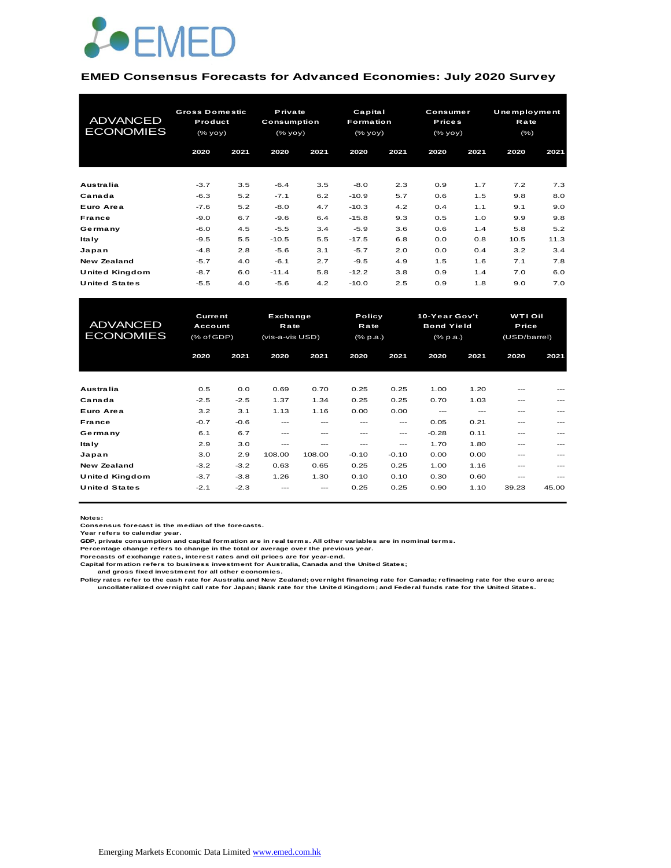

#### **EMED Consensus Forecasts for Advanced Economies: July 2020 Survey**

| <b>ADVANCED</b><br><b>ECONOMIES</b>    | <b>Gross Domestic</b><br>Product<br>(% yoy) |            | Private<br>Consumption<br>$(\%$ yoy $)$ |            | Capital<br><b>Formation</b><br>(% |            | Consumer<br><b>Prices</b><br>(% yoy) |            | Unemployment<br>Rate<br>$(\% )$ |            |
|----------------------------------------|---------------------------------------------|------------|-----------------------------------------|------------|-----------------------------------|------------|--------------------------------------|------------|---------------------------------|------------|
|                                        | 2020                                        | 2021       | 2020                                    | 2021       | 2020                              | 2021       | 2020                                 | 2021       | 2020                            | 2021       |
| Australia                              | $-3.7$                                      | 3.5        | $-6.4$                                  | 3.5        | $-8.0$                            | 2.3        | 0.9                                  | 1.7        | 7.2                             | 7.3        |
| Canada<br>Euro Area                    | $-6.3$<br>$-7.6$                            | 5.2<br>5.2 | $-7.1$<br>$-8.0$                        | 6.2<br>4.7 | $-10.9$<br>$-10.3$                | 5.7<br>4.2 | 0.6<br>0.4                           | 1.5<br>1.1 | 9.8<br>9.1                      | 8.0<br>9.0 |
| France<br>Germany                      | $-9.0$<br>$-6.0$                            | 6.7<br>4.5 | $-9.6$<br>$-5.5$                        | 6.4<br>3.4 | $-15.8$<br>$-5.9$                 | 9.3<br>3.6 | 0.5<br>0.6                           | 1.0<br>1.4 | 9.9<br>5.8                      | 9.8<br>5.2 |
| <b>Italy</b>                           | $-9.5$                                      | 5.5        | $-10.5$                                 | 5.5        | $-17.5$                           | 6.8        | 0.0                                  | 0.8        | 10.5                            | 11.3       |
| Japan<br><b>New Zealand</b>            | $-4.8$<br>$-5.7$                            | 2.8<br>4.0 | $-5.6$<br>$-6.1$                        | 3.1<br>2.7 | $-5.7$<br>$-9.5$                  | 2.0<br>4.9 | 0.0<br>1.5                           | 0.4<br>1.6 | 3.2<br>7.1                      | 3.4<br>7.8 |
| United Kingdom<br><b>United States</b> | $-8.7$<br>$-5.5$                            | 6.0<br>4.0 | $-11.4$<br>$-5.6$                       | 5.8<br>4.2 | $-12.2$<br>$-10.0$                | 3.8<br>2.5 | 0.9<br>0.9                           | 1.4<br>1.8 | 7.0<br>9.0                      | 6.0<br>7.0 |
|                                        |                                             |            |                                         |            |                                   |            |                                      |            |                                 |            |

| United Kingdom        | $-8.7$       | 6.0            | $-11.4$         | 5.8      | $-12.2$         | 3.8     | 0.9               | 1.4   | 7.0            | 6.0   |  |
|-----------------------|--------------|----------------|-----------------|----------|-----------------|---------|-------------------|-------|----------------|-------|--|
| <b>United States</b>  | $-5.5$       | 4.0            | $-5.6$          | 4.2      | $-10.0$         | 2.5     | 0.9               | 1.8   | 9.0            | 7.0   |  |
|                       |              |                |                 |          |                 |         |                   |       |                |       |  |
|                       |              |                |                 |          |                 |         |                   |       |                |       |  |
| <b>ADVANCED</b>       |              | <b>Current</b> |                 | Exchange | Policy          |         | 10-Year Gov't     |       | <b>WTI Oil</b> |       |  |
|                       | Account      |                | <b>Rate</b>     |          | Rate            |         | <b>Bond Yield</b> |       | Price          |       |  |
| <b>ECONOMIES</b>      | $(%$ of GDP) |                | (vis-a-vis USD) |          | $(%$ $(% p.a.)$ |         | (% p.a.)          |       | (USD/barrel)   |       |  |
|                       | 2020         | 2021           | 2020            | 2021     | 2020            | 2021    | 2020              | 2021  | 2020           | 2021  |  |
|                       |              |                |                 |          |                 |         |                   |       |                |       |  |
|                       |              |                |                 |          |                 |         |                   |       |                |       |  |
| Australia             | 0.5          | 0.0            | 0.69            | 0.70     | 0.25            | 0.25    | 1.00              | 1.20  |                |       |  |
| Canada                | $-2.5$       | $-2.5$         | 1.37            | 1.34     | 0.25            | 0.25    | 0.70              | 1.03  |                |       |  |
| Euro Area             | 3.2          | 3.1            | 1.13            | 1.16     | 0.00            | 0.00    | $---$             | $---$ | ---            |       |  |
| <b>France</b>         | $-0.7$       | $-0.6$         | ---             | ---      | ---             | $---$   | 0.05              | 0.21  | ---            |       |  |
| Germany               | 6.1          | 6.7            | $- - -$         | ---      | ---             | ---     | $-0.28$           | 0.11  | ---            | $---$ |  |
| <b>Italy</b>          | 2.9          | 3.0            | ---             | ---      | ---             | ---     | 1.70              | 1.80  | ---            |       |  |
| Japan                 | 3.0          | 2.9            | 108.00          | 108.00   | $-0.10$         | $-0.10$ | 0.00              | 0.00  | $---$          |       |  |
| <b>New Zealand</b>    | $-3.2$       | $-3.2$         | 0.63            | 0.65     | 0.25            | 0.25    | 1.00              | 1.16  | $- - -$        |       |  |
| <b>United Kingdom</b> | $-3.7$       | $-3.8$         | 1.26            | 1.30     | 0.10            | 0.10    | 0.30              | 0.60  | ---            | ---   |  |
| <b>United States</b>  | $-2.1$       | $-2.3$         |                 |          | 0.25            | 0.25    | 0.90              | 1.10  | 39.23          | 45.00 |  |
|                       |              |                |                 |          |                 |         |                   |       |                |       |  |

**Notes:** 

**Consensus forecast is the median of the forecasts. Year refers to calendar year.**

**GDP, private consumption and capital formation are in real terms. All other variables are in nominal terms.**

**Percentage change refers to change in the total or average over the previous year. Forecasts of exchange rates, interest rates and oil prices are for year-end.**

**Capital formation refers to business investment for Australia, Canada and the United States;**

 **and gross fixed investment for all other economies.**

Policy rates refer to the cash rate for Australia and New Zealand; overnight financing rate for Canada; refinacing rate for the euro area;<br>uncollateralized overnight call rate for Japan; Bank rate for the United Kingdom; a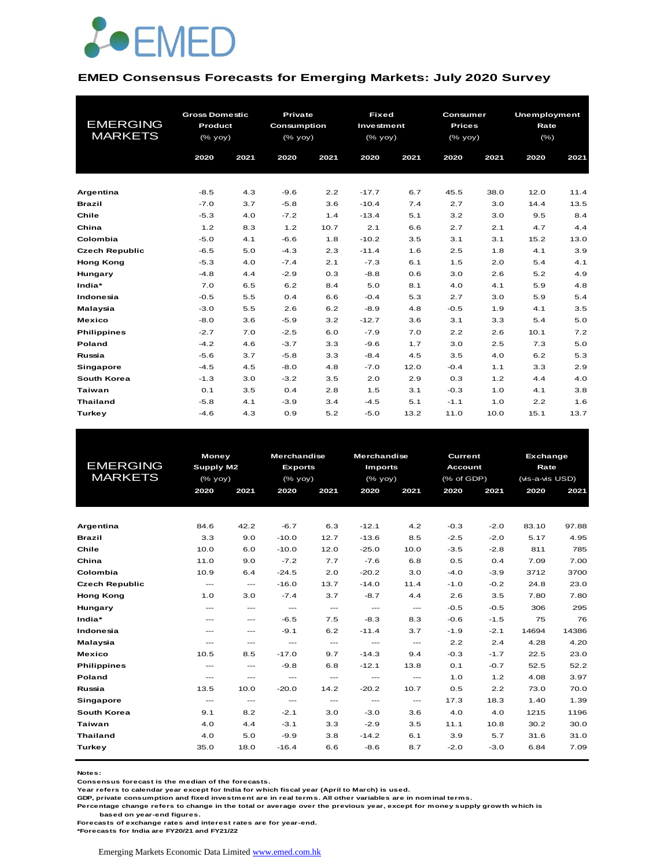

#### **EMED Consensus Forecasts for Emerging Markets: July 2020 Survey**

| <b>EMERGING</b><br><b>MARKETS</b> | <b>Gross Domestic</b><br>Product<br>(% yoy) |      | <b>Private</b><br>Consumption<br>(% yoy) |      | <b>Fixed</b><br>Investment<br>$(%$ $\sqrt{oy}$ $\sqrt{oy}$ |      |        | Consumer<br><b>Prices</b><br>$(%$ $\sqrt{)$ $\sqrt{)$ $\sqrt{)$ $\sqrt{)$ $\sqrt{)$ $\sqrt{)$ $\sqrt{)$ $\sqrt{)$ $\sqrt{) \sqrt{}}}$<br>2020<br>2021 |      | <b>Unemployment</b><br>Rate<br>$(\% )$ |
|-----------------------------------|---------------------------------------------|------|------------------------------------------|------|------------------------------------------------------------|------|--------|-------------------------------------------------------------------------------------------------------------------------------------------------------|------|----------------------------------------|
|                                   | 2020                                        | 2021 | 2020                                     | 2021 | 2020                                                       | 2021 |        |                                                                                                                                                       | 2020 | 2021                                   |
|                                   |                                             |      |                                          |      |                                                            |      |        |                                                                                                                                                       |      |                                        |
| Argentina                         | $-8.5$                                      | 4.3  | $-9.6$                                   | 2.2  | $-17.7$                                                    | 6.7  | 45.5   | 38.0                                                                                                                                                  | 12.0 | 11.4                                   |
| <b>Brazil</b>                     | $-7.0$                                      | 3.7  | $-5.8$                                   | 3.6  | $-10.4$                                                    | 7.4  | 2.7    | 3.0                                                                                                                                                   | 14.4 | 13.5                                   |
| Chile                             | $-5.3$                                      | 4.0  | $-7.2$                                   | 1.4  | $-13.4$                                                    | 5.1  | 3.2    | 3.0                                                                                                                                                   | 9.5  | 8.4                                    |
| China                             | 1.2                                         | 8.3  | 1.2                                      | 10.7 | 2.1                                                        | 6.6  | 2.7    | 2.1                                                                                                                                                   | 4.7  | 4.4                                    |
| Colombia                          | $-5.0$                                      | 4.1  | $-6.6$                                   | 1.8  | $-10.2$                                                    | 3.5  | 3.1    | 3.1                                                                                                                                                   | 15.2 | 13.0                                   |
| <b>Czech Republic</b>             | $-6.5$                                      | 5.0  | $-4.3$                                   | 2.3  | $-11.4$                                                    | 1.6  | 2.5    | 1.8                                                                                                                                                   | 4.1  | 3.9                                    |
| <b>Hong Kong</b>                  | $-5.3$                                      | 4.0  | $-7.4$                                   | 2.1  | $-7.3$                                                     | 6.1  | 1.5    | 2.0                                                                                                                                                   | 5.4  | 4.1                                    |
| Hungary                           | $-4.8$                                      | 4.4  | $-2.9$                                   | 0.3  | $-8.8$                                                     | 0.6  | 3.0    | 2.6                                                                                                                                                   | 5.2  | 4.9                                    |
| India*                            | 7.0                                         | 6.5  | 6.2                                      | 8.4  | 5.0                                                        | 8.1  | 4.0    | 4.1                                                                                                                                                   | 5.9  | 4.8                                    |
| Indonesia                         | $-0.5$                                      | 5.5  | 0.4                                      | 6.6  | $-0.4$                                                     | 5.3  | 2.7    | 3.0                                                                                                                                                   | 5.9  | 5.4                                    |
| Malaysia                          | $-3.0$                                      | 5.5  | 2.6                                      | 6.2  | $-8.9$                                                     | 4.8  | $-0.5$ | 1.9                                                                                                                                                   | 4.1  | 3.5                                    |
| <b>Mexico</b>                     | $-8.0$                                      | 3.6  | $-5.9$                                   | 3.2  | $-12.7$                                                    | 3.6  | 3.1    | 3.3                                                                                                                                                   | 5.4  | 5.0                                    |
| <b>Philippines</b>                | $-2.7$                                      | 7.0  | $-2.5$                                   | 6.0  | $-7.9$                                                     | 7.0  | 2.2    | 2.6                                                                                                                                                   | 10.1 | 7.2                                    |
| Poland                            | $-4.2$                                      | 4.6  | $-3.7$                                   | 3.3  | $-9.6$                                                     | 1.7  | 3.0    | 2.5                                                                                                                                                   | 7.3  | 5.0                                    |
| Russia                            | $-5.6$                                      | 3.7  | $-5.8$                                   | 3.3  | $-8.4$                                                     | 4.5  | 3.5    | 4.0                                                                                                                                                   | 6.2  | 5.3                                    |
| Singapore                         | $-4.5$                                      | 4.5  | $-8.0$                                   | 4.8  | $-7.0$                                                     | 12.0 | $-0.4$ | 1.1                                                                                                                                                   | 3.3  | 2.9                                    |
| South Korea                       | $-1.3$                                      | 3.0  | $-3.2$                                   | 3.5  | 2.0                                                        | 2.9  | 0.3    | 1.2                                                                                                                                                   | 4.4  | 4.0                                    |
| <b>Taiwan</b>                     | 0.1                                         | 3.5  | 0.4                                      | 2.8  | 1.5                                                        | 3.1  | $-0.3$ | 1.0                                                                                                                                                   | 4.1  | 3.8                                    |
| <b>Thailand</b>                   | $-5.8$                                      | 4.1  | $-3.9$                                   | 3.4  | $-4.5$                                                     | 5.1  | $-1.1$ | 1.0                                                                                                                                                   | 2.2  | 1.6                                    |
| Turkey                            | $-4.6$                                      | 4.3  | 0.9                                      | 5.2  | $-5.0$                                                     | 13.2 | 11.0   | 10.0                                                                                                                                                  | 15.1 | 13.7                                   |

|                       | <b>Money</b>           |                          | <b>Merchandise</b>       |                                                                                                | Merchandise<br>Current   |          |                |        | <b>Exchange</b> |       |
|-----------------------|------------------------|--------------------------|--------------------------|------------------------------------------------------------------------------------------------|--------------------------|----------|----------------|--------|-----------------|-------|
| <b>EMERGING</b>       | Supply M2              |                          | <b>Exports</b>           |                                                                                                | <b>Imports</b>           |          | <b>Account</b> |        | Rate            |       |
| <b>MARKETS</b>        | (% yoy)                |                          | $(%$ (% yoy)             |                                                                                                | (% yoy)                  |          | (% of GDP)     |        | (vis-a-vis USD) |       |
|                       | 2020                   | 2021                     | 2020                     | 2021                                                                                           | 2020                     | 2021     | 2020           | 2021   | 2020            | 2021  |
|                       |                        |                          |                          |                                                                                                |                          |          |                |        |                 |       |
|                       |                        |                          |                          |                                                                                                |                          |          |                |        |                 |       |
| Argentina             | 84.6                   | 42.2                     | $-6.7$                   | 6.3                                                                                            | $-12.1$                  | 4.2      | $-0.3$         | $-2.0$ | 83.10           | 97.88 |
| <b>Brazil</b>         | 3.3                    | 9.0                      | $-10.0$                  | 12.7                                                                                           | $-13.6$                  | 8.5      | $-2.5$         | $-2.0$ | 5.17            | 4.95  |
| Chile                 | 10.0                   | 6.0                      | $-10.0$                  | 12.0                                                                                           | $-25.0$                  | 10.0     | $-3.5$         | $-2.8$ | 811             | 785   |
| China                 | 11.0                   | 9.0                      | $-7.2$                   | 7.7                                                                                            | $-7.6$                   | 6.8      | 0.5            | 0.4    | 7.09            | 7.00  |
| Colombia              | 10.9                   | 6.4                      | $-24.5$                  | 2.0                                                                                            | $-20.2$                  | 3.0      | $-4.0$         | $-3.9$ | 3712            | 3700  |
| <b>Czech Republic</b> | $\qquad \qquad \cdots$ | $\qquad \qquad \cdots$   | $-16.0$                  | 13.7                                                                                           | $-14.0$                  | 11.4     | $-1.0$         | $-0.2$ | 24.8            | 23.0  |
| <b>Hong Kong</b>      | 1.0                    | 3.0                      | $-7.4$                   | 3.7                                                                                            | $-8.7$                   | 4.4      | 2.6            | 3.5    | 7.80            | 7.80  |
| Hungary               | $---$                  | $---$                    | $\hspace{0.05cm} \ldots$ | $\cdots$                                                                                       | $\hspace{0.05cm} \ldots$ | $\cdots$ | $-0.5$         | $-0.5$ | 306             | 295   |
| India*                | $---$                  | $\qquad \qquad \cdots$   | $-6.5$                   | 7.5                                                                                            | $-8.3$                   | 8.3      | $-0.6$         | $-1.5$ | 75              | 76    |
| Indonesia             | $---$                  | $---$                    | $-9.1$                   | 6.2                                                                                            | $-11.4$                  | 3.7      | $-1.9$         | $-2.1$ | 14694           | 14386 |
| Malaysia              | $---$                  | $---$                    | $\frac{1}{2}$            | $\frac{1}{2} \left( \frac{1}{2} \right) \left( \frac{1}{2} \right) \left( \frac{1}{2} \right)$ | $\frac{1}{2}$            | $  \sim$ | 2.2            | 2.4    | 4.28            | 4.20  |
| <b>Mexico</b>         | 10.5                   | 8.5                      | $-17.0$                  | 9.7                                                                                            | $-14.3$                  | 9.4      | $-0.3$         | $-1.7$ | 22.5            | 23.0  |
| <b>Philippines</b>    | $\qquad \qquad -$      | $\qquad \qquad \cdots$   | $-9.8$                   | 6.8                                                                                            | $-12.1$                  | 13.8     | O.1            | $-0.7$ | 52.5            | 52.2  |
| Poland                | $\frac{1}{2}$          | $\cdots$                 | $\cdots$                 | $\cdots$                                                                                       | $\cdots$                 | $\cdots$ | 1.0            | 1.2    | 4.08            | 3.97  |
| Russia                | 13.5                   | 10.0                     | $-20.0$                  | 14.2                                                                                           | $-20.2$                  | 10.7     | 0.5            | 2.2    | 73.0            | 70.0  |
| Singapore             | $\cdots$               | $\hspace{0.05cm} \ldots$ | $\hspace{0.05cm} \ldots$ | $\cdots$                                                                                       | $\hspace{0.05cm} \ldots$ | $\cdots$ | 17.3           | 18.3   | 1.40            | 1.39  |
| South Korea           | 9.1                    | 8.2                      | $-2.1$                   | 3.0                                                                                            | $-3.0$                   | 3.6      | 4.0            | 4.0    | 1215            | 1196  |
| Taiwan                | 4.0                    | 4.4                      | $-3.1$                   | 3.3                                                                                            | $-2.9$                   | 3.5      | 11.1           | 10.8   | 30.2            | 30.0  |
| <b>Thailand</b>       | 4.0                    | 5.0                      | $-9.9$                   | 3.8                                                                                            | $-14.2$                  | 6.1      | 3.9            | 5.7    | 31.6            | 31.0  |
| Turkey                | 35.0                   | 18.0                     | $-16.4$                  | 6.6                                                                                            | $-8.6$                   | 8.7      | $-2.0$         | $-3.0$ | 6.84            | 7.09  |
|                       |                        |                          |                          |                                                                                                |                          |          |                |        |                 |       |

**Notes:** 

**Consensus forecast is the median of the forecasts.**

**Year refers to calendar year except for India for which fiscal year (April to March) is used.**

**GDP, private consumption and fixed investment are in real terms. All other variables are in nominal terms.**

**Percentage change refers to change in the total or average over the previous year, except for money supply growth which is** 

 **based on year-end figures.**

**Forecasts of exchange rates and interest rates are for year-end.**

**\*Forecasts for India are FY20/21 and FY21/22**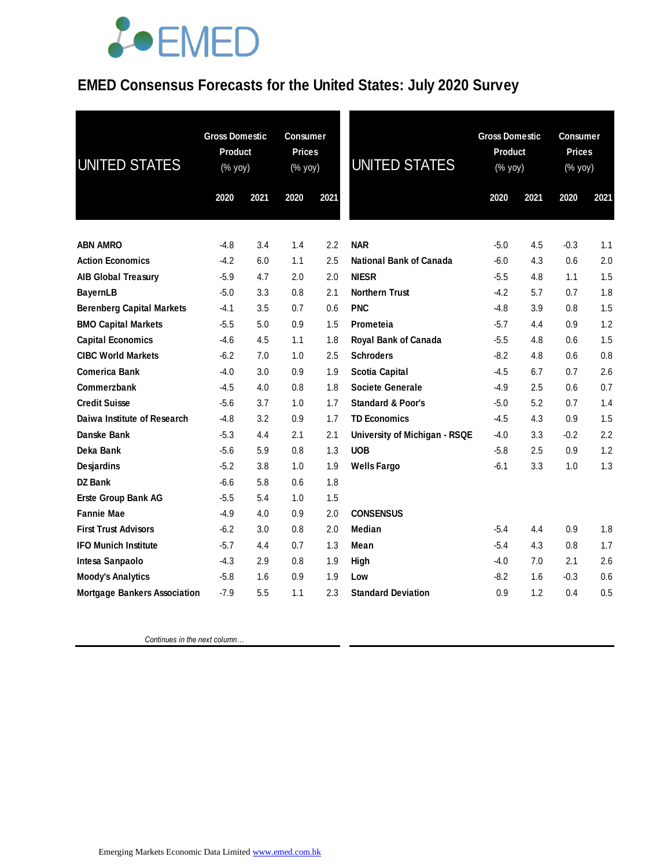#### **EMED Consensus Forecasts for the United States: July 2020 Survey**

| <b>UNITED STATES</b>                | <b>Gross Domestic</b><br>Product<br>$(% \mathsf{Y}^{\prime }\mathsf{Y}^{\prime }\mathsf{Y}^{\prime })$ |      | <b>Consumer</b><br><b>Prices</b><br>(% yoy) |      | <b>UNITED STATES</b>           | <b>Gross Domestic</b><br><b>Product</b><br>(% yoy) |      | <b>Consumer</b><br><b>Prices</b><br>(% yoy) |      |
|-------------------------------------|--------------------------------------------------------------------------------------------------------|------|---------------------------------------------|------|--------------------------------|----------------------------------------------------|------|---------------------------------------------|------|
|                                     | 2020                                                                                                   | 2021 | 2020                                        | 2021 |                                | 2020                                               | 2021 | 2020                                        | 2021 |
| <b>ABN AMRO</b>                     | $-4.8$                                                                                                 | 3.4  | 1.4                                         | 2.2  | <b>NAR</b>                     | $-5.0$                                             | 4.5  | $-0.3$                                      | 1.1  |
| <b>Action Economics</b>             | $-4.2$                                                                                                 | 6.0  | 1.1                                         | 2.5  | <b>National Bank of Canada</b> | $-6.0$                                             | 4.3  | 0.6                                         | 2.0  |
| <b>AIB Global Treasury</b>          | $-5.9$                                                                                                 | 4.7  | 2.0                                         | 2.0  | <b>NIESR</b>                   | $-5.5$                                             | 4.8  | 1.1                                         | 1.5  |
| <b>BayernLB</b>                     | $-5.0$                                                                                                 | 3.3  | 0.8                                         | 2.1  | <b>Northern Trust</b>          | $-4.2$                                             | 5.7  | 0.7                                         | 1.8  |
| <b>Berenberg Capital Markets</b>    | $-4.1$                                                                                                 | 3.5  | 0.7                                         | 0.6  | <b>PNC</b>                     | $-4.8$                                             | 3.9  | 0.8                                         | 1.5  |
| <b>BMO Capital Markets</b>          | $-5.5$                                                                                                 | 5.0  | 0.9                                         | 1.5  | Prometeia                      | $-5.7$                                             | 4.4  | 0.9                                         | 1.2  |
| <b>Capital Economics</b>            | -4.6                                                                                                   | 4.5  | 1.1                                         | 1.8  | <b>Royal Bank of Canada</b>    | $-5.5$                                             | 4.8  | 0.6                                         | 1.5  |
| <b>CIBC World Markets</b>           | $-6.2$                                                                                                 | 7.0  | 1.0                                         | 2.5  | <b>Schroders</b>               | $-8.2$                                             | 4.8  | 0.6                                         | 0.8  |
| <b>Comerica Bank</b>                | $-4.0$                                                                                                 | 3.0  | 0.9                                         | 1.9  | Scotia Capital                 | $-4.5$                                             | 6.7  | 0.7                                         | 2.6  |
| Commerzbank                         | $-4.5$                                                                                                 | 4.0  | 0.8                                         | 1.8  | Societe Generale               | $-4.9$                                             | 2.5  | 0.6                                         | 0.7  |
| <b>Credit Suisse</b>                | $-5.6$                                                                                                 | 3.7  | 1.0                                         | 1.7  | <b>Standard &amp; Poor's</b>   | $-5.0$                                             | 5.2  | 0.7                                         | 1.4  |
| Daiwa Institute of Research         | $-4.8$                                                                                                 | 3.2  | 0.9                                         | 1.7  | <b>TD Economics</b>            | $-4.5$                                             | 4.3  | 0.9                                         | 1.5  |
| Danske Bank                         | $-5.3$                                                                                                 | 4.4  | 2.1                                         | 2.1  | University of Michigan - RSQE  | $-4.0$                                             | 3.3  | $-0.2$                                      | 2.2  |
| Deka Bank                           | $-5.6$                                                                                                 | 5.9  | 0.8                                         | 1.3  | <b>UOB</b>                     | $-5.8$                                             | 2.5  | 0.9                                         | 1.2  |
| <b>Desjardins</b>                   | $-5.2$                                                                                                 | 3.8  | 1.0                                         | 1.9  | <b>Wells Fargo</b>             | $-6.1$                                             | 3.3  | 1.0                                         | 1.3  |
| <b>DZ Bank</b>                      | $-6.6$                                                                                                 | 5.8  | 0.6                                         | 1.8  |                                |                                                    |      |                                             |      |
| <b>Erste Group Bank AG</b>          | $-5.5$                                                                                                 | 5.4  | 1.0                                         | 1.5  |                                |                                                    |      |                                             |      |
| <b>Fannie Mae</b>                   | $-4.9$                                                                                                 | 4.0  | 0.9                                         | 2.0  | <b>CONSENSUS</b>               |                                                    |      |                                             |      |
| <b>First Trust Advisors</b>         | $-6.2$                                                                                                 | 3.0  | 0.8                                         | 2.0  | <b>Median</b>                  | $-5.4$                                             | 4.4  | 0.9                                         | 1.8  |
| <b>IFO Munich Institute</b>         | $-5.7$                                                                                                 | 4.4  | 0.7                                         | 1.3  | Mean                           | $-5.4$                                             | 4.3  | 0.8                                         | 1.7  |
| Intesa Sanpaolo                     | $-4.3$                                                                                                 | 2.9  | 0.8                                         | 1.9  | High                           | -4.0                                               | 7.0  | 2.1                                         | 2.6  |
| <b>Moody's Analytics</b>            | $-5.8$                                                                                                 | 1.6  | 0.9                                         | 1.9  | Low                            | $-8.2$                                             | 1.6  | $-0.3$                                      | 0.6  |
| <b>Mortgage Bankers Association</b> | $-7.9$                                                                                                 | 5.5  | 1.1                                         | 2.3  | <b>Standard Deviation</b>      | 0.9                                                | 1.2  | 0.4                                         | 0.5  |

 *Continues in the next column…*

Emerging Markets Economic Data Limite[d www.emed.com.hk](http://www.emed.com.hk/)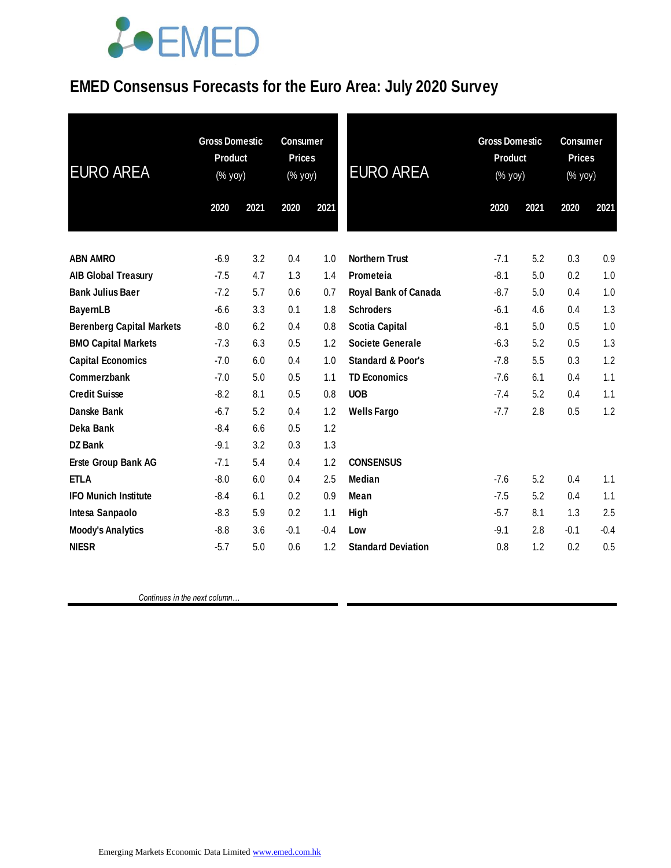### **EMED Consensus Forecasts for the Euro Area: July 2020 Survey**

| <b>EURO AREA</b>                 |        | <b>Gross Domestic</b><br><b>Product</b><br>(% yoy) |        | <b>Consumer</b><br><b>Prices</b><br>(% yoy) | <b>EURO AREA</b>             | <b>Gross Domestic</b><br><b>Product</b><br>(% yoy) |      | <b>Consumer</b><br><b>Prices</b><br>(% yoy) |        |
|----------------------------------|--------|----------------------------------------------------|--------|---------------------------------------------|------------------------------|----------------------------------------------------|------|---------------------------------------------|--------|
|                                  | 2020   | 2021                                               | 2020   | 2021                                        |                              | 2020                                               | 2021 | 2020                                        | 2021   |
| <b>ABN AMRO</b>                  | $-6.9$ | 3.2                                                | 0.4    | 1.0                                         | <b>Northern Trust</b>        | $-7.1$                                             | 5.2  | 0.3                                         | 0.9    |
| <b>AIB Global Treasury</b>       | $-7.5$ | 4.7                                                | 1.3    | 1.4                                         | Prometeia                    | $-8.1$                                             | 5.0  | 0.2                                         | 1.0    |
| <b>Bank Julius Baer</b>          | $-7.2$ | 5.7                                                | 0.6    | 0.7                                         | Royal Bank of Canada         | $-8.7$                                             | 5.0  | 0.4                                         | 1.0    |
| <b>BayernLB</b>                  | $-6.6$ | 3.3                                                | 0.1    | 1.8                                         | <b>Schroders</b>             | $-6.1$                                             | 4.6  | 0.4                                         | 1.3    |
| <b>Berenberg Capital Markets</b> | $-8.0$ | 6.2                                                | 0.4    | 0.8                                         | <b>Scotia Capital</b>        | $-8.1$                                             | 5.0  | 0.5                                         | 1.0    |
| <b>BMO Capital Markets</b>       | $-7.3$ | 6.3                                                | 0.5    | 1.2                                         | <b>Societe Generale</b>      | $-6.3$                                             | 5.2  | 0.5                                         | 1.3    |
| <b>Capital Economics</b>         | $-7.0$ | 6.0                                                | 0.4    | 1.0                                         | <b>Standard &amp; Poor's</b> | $-7.8$                                             | 5.5  | 0.3                                         | 1.2    |
| Commerzbank                      | $-7.0$ | 5.0                                                | 0.5    | 1.1                                         | <b>TD Economics</b>          | $-7.6$                                             | 6.1  | 0.4                                         | 1.1    |
| <b>Credit Suisse</b>             | $-8.2$ | 8.1                                                | 0.5    | 0.8                                         | <b>UOB</b>                   | $-7.4$                                             | 5.2  | 0.4                                         | 1.1    |
| Danske Bank                      | $-6.7$ | 5.2                                                | 0.4    | 1.2                                         | <b>Wells Fargo</b>           | $-7.7$                                             | 2.8  | 0.5                                         | 1.2    |
| Deka Bank                        | $-8.4$ | 6.6                                                | 0.5    | 1.2                                         |                              |                                                    |      |                                             |        |
| DZ Bank                          | $-9.1$ | 3.2                                                | 0.3    | 1.3                                         |                              |                                                    |      |                                             |        |
| Erste Group Bank AG              | $-7.1$ | 5.4                                                | 0.4    | 1.2                                         | <b>CONSENSUS</b>             |                                                    |      |                                             |        |
| <b>ETLA</b>                      | $-8.0$ | 6.0                                                | 0.4    | 2.5                                         | <b>Median</b>                | $-7.6$                                             | 5.2  | 0.4                                         | 1.1    |
| <b>IFO Munich Institute</b>      | $-8.4$ | 6.1                                                | 0.2    | 0.9                                         | Mean                         | $-7.5$                                             | 5.2  | 0.4                                         | 1.1    |
| Intesa Sanpaolo                  | $-8.3$ | 5.9                                                | 0.2    | 1.1                                         | High                         | $-5.7$                                             | 8.1  | 1.3                                         | 2.5    |
| <b>Moody's Analytics</b>         | $-8.8$ | 3.6                                                | $-0.1$ | $-0.4$                                      | Low                          | $-9.1$                                             | 2.8  | $-0.1$                                      | $-0.4$ |
| <b>NIESR</b>                     | $-5.7$ | 5.0                                                | 0.6    | 1.2                                         | <b>Standard Deviation</b>    | 0.8                                                | 1.2  | 0.2                                         | 0.5    |

 *Continues in the next column…*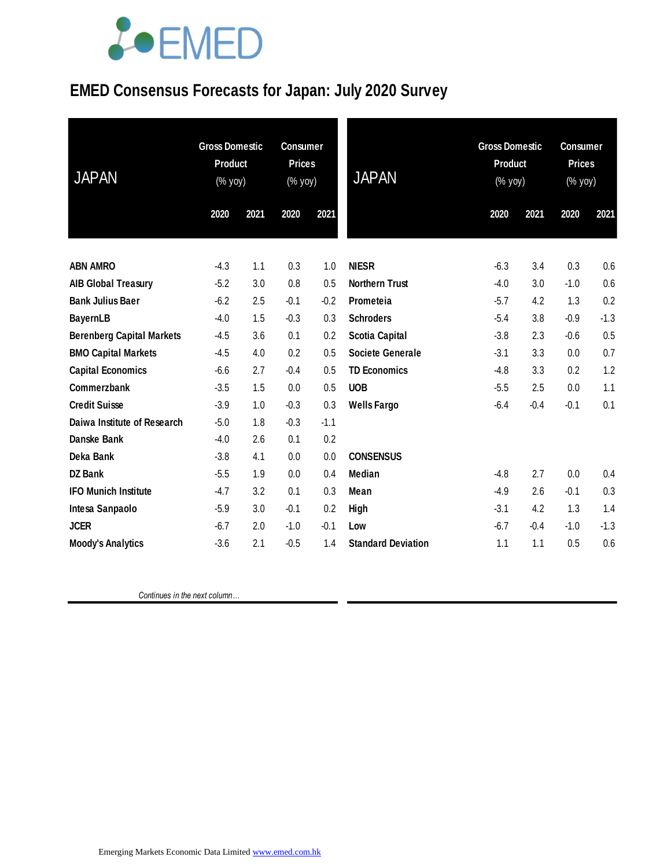### **EMED Consensus Forecasts for Japan: July 2020 Survey**

| <b>JAPAN</b>                     | <b>Gross Domestic</b><br><b>Product</b><br>(% yoy) |      | <b>Consumer</b><br><b>Prices</b><br>(% yoy) |        | <b>JAPAN</b>              | <b>Gross Domestic</b><br><b>Product</b><br>(% yoy) |        | <b>Consumer</b><br><b>Prices</b><br>(% yoy) |        |
|----------------------------------|----------------------------------------------------|------|---------------------------------------------|--------|---------------------------|----------------------------------------------------|--------|---------------------------------------------|--------|
|                                  | 2020                                               | 2021 | 2020                                        | 2021   |                           | 2020                                               | 2021   | 2020                                        | 2021   |
| <b>ABN AMRO</b>                  | $-4.3$                                             | 1.1  | 0.3                                         | 1.0    | <b>NIESR</b>              | $-6.3$                                             | 3.4    | 0.3                                         | 0.6    |
| <b>AIB Global Treasury</b>       | $-5.2$                                             | 3.0  | 0.8                                         | 0.5    | <b>Northern Trust</b>     | $-4.0$                                             | 3.0    | $-1.0$                                      | 0.6    |
| <b>Bank Julius Baer</b>          | $-6.2$                                             | 2.5  | $-0.1$                                      | $-0.2$ | Prometeia                 | $-5.7$                                             | 4.2    | 1.3                                         | 0.2    |
| <b>BayernLB</b>                  | $-4.0$                                             | 1.5  | $-0.3$                                      | 0.3    | <b>Schroders</b>          | $-5.4$                                             | 3.8    | $-0.9$                                      | $-1.3$ |
| <b>Berenberg Capital Markets</b> | $-4.5$                                             | 3.6  | 0.1                                         | 0.2    | <b>Scotia Capital</b>     | $-3.8$                                             | 2.3    | $-0.6$                                      | 0.5    |
| <b>BMO Capital Markets</b>       | $-4.5$                                             | 4.0  | 0.2                                         | 0.5    | Societe Generale          | $-3.1$                                             | 3.3    | 0.0                                         | 0.7    |
| <b>Capital Economics</b>         | $-6.6$                                             | 2.7  | $-0.4$                                      | 0.5    | <b>TD Economics</b>       | $-4.8$                                             | 3.3    | 0.2                                         | 1.2    |
| <b>Commerzbank</b>               | $-3.5$                                             | 1.5  | 0.0                                         | 0.5    | <b>UOB</b>                | $-5.5$                                             | 2.5    | 0.0                                         | 1.1    |
| <b>Credit Suisse</b>             | $-3.9$                                             | 1.0  | $-0.3$                                      | 0.3    | <b>Wells Fargo</b>        | $-6.4$                                             | $-0.4$ | $-0.1$                                      | 0.1    |
| Daiwa Institute of Research      | $-5.0$                                             | 1.8  | $-0.3$                                      | $-1.1$ |                           |                                                    |        |                                             |        |
| Danske Bank                      | $-4.0$                                             | 2.6  | 0.1                                         | 0.2    |                           |                                                    |        |                                             |        |
| Deka Bank                        | $-3.8$                                             | 4.1  | 0.0                                         | 0.0    | <b>CONSENSUS</b>          |                                                    |        |                                             |        |
| <b>DZ Bank</b>                   | $-5.5$                                             | 1.9  | 0.0                                         | 0.4    | <b>Median</b>             | $-4.8$                                             | 2.7    | 0.0                                         | 0.4    |
| <b>IFO Munich Institute</b>      | $-4.7$                                             | 3.2  | 0.1                                         | 0.3    | Mean                      | $-4.9$                                             | 2.6    | $-0.1$                                      | 0.3    |
| Intesa Sanpaolo                  | $-5.9$                                             | 3.0  | $-0.1$                                      | 0.2    | High                      | $-3.1$                                             | 4.2    | 1.3                                         | 1.4    |
| <b>JCER</b>                      | $-6.7$                                             | 2.0  | $-1.0$                                      | $-0.1$ | Low                       | $-6.7$                                             | $-0.4$ | $-1.0$                                      | $-1.3$ |
| <b>Moody's Analytics</b>         | $-3.6$                                             | 2.1  | $-0.5$                                      | 1.4    | <b>Standard Deviation</b> | 1.1                                                | 1.1    | 0.5                                         | 0.6    |

 *Continues in the next column…*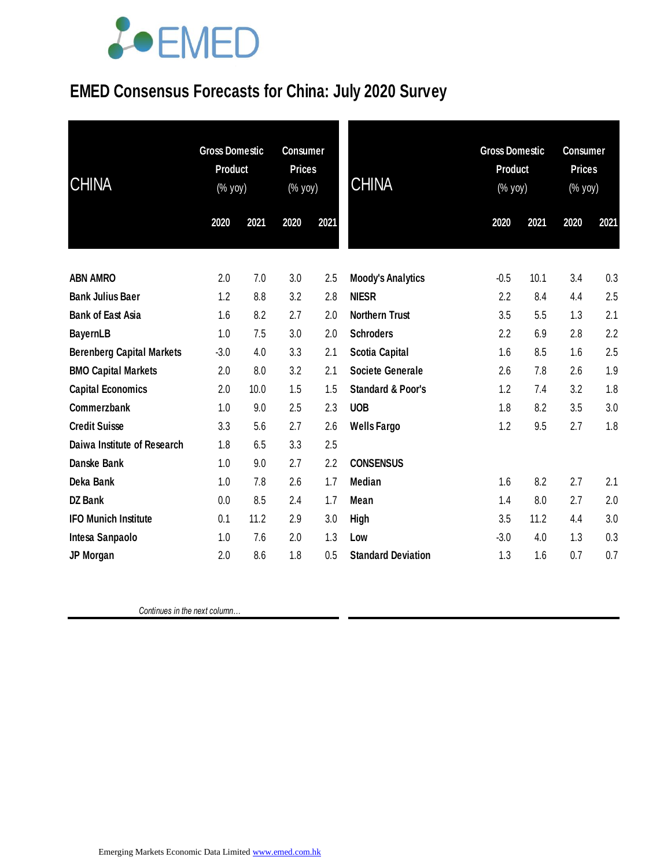### **EMED Consensus Forecasts for China: July 2020 Survey**

| <b>CHINA</b>                     | <b>Gross Domestic</b><br><b>Product</b><br>(% yoy) |      | <b>Consumer</b><br><b>Prices</b><br>(% yoy) |      | <b>CHINA</b>                 | <b>Gross Domestic</b><br>Product<br>(% yoy) |      | <b>Consumer</b><br><b>Prices</b><br>(% yoy) |      |
|----------------------------------|----------------------------------------------------|------|---------------------------------------------|------|------------------------------|---------------------------------------------|------|---------------------------------------------|------|
|                                  | 2020                                               | 2021 | 2020                                        | 2021 |                              | 2020                                        | 2021 | 2020                                        | 2021 |
| <b>ABN AMRO</b>                  | 2.0                                                | 7.0  | 3.0                                         | 2.5  | <b>Moody's Analytics</b>     | $-0.5$                                      | 10.1 | 3.4                                         | 0.3  |
| <b>Bank Julius Baer</b>          | 1.2                                                | 8.8  | 3.2                                         | 2.8  | <b>NIESR</b>                 | 2.2                                         | 8.4  | 4.4                                         | 2.5  |
| <b>Bank of East Asia</b>         | 1.6                                                | 8.2  | 2.7                                         | 2.0  | <b>Northern Trust</b>        | 3.5                                         | 5.5  | 1.3                                         | 2.1  |
| <b>BayernLB</b>                  | 1.0                                                | 7.5  | 3.0                                         | 2.0  | <b>Schroders</b>             | 2.2                                         | 6.9  | 2.8                                         | 2.2  |
| <b>Berenberg Capital Markets</b> | $-3.0$                                             | 4.0  | 3.3                                         | 2.1  | <b>Scotia Capital</b>        | 1.6                                         | 8.5  | 1.6                                         | 2.5  |
| <b>BMO Capital Markets</b>       | 2.0                                                | 8.0  | 3.2                                         | 2.1  | <b>Societe Generale</b>      | 2.6                                         | 7.8  | 2.6                                         | 1.9  |
| <b>Capital Economics</b>         | 2.0                                                | 10.0 | 1.5                                         | 1.5  | <b>Standard &amp; Poor's</b> | 1.2                                         | 7.4  | 3.2                                         | 1.8  |
| Commerzbank                      | 1.0                                                | 9.0  | 2.5                                         | 2.3  | <b>UOB</b>                   | 1.8                                         | 8.2  | 3.5                                         | 3.0  |
| <b>Credit Suisse</b>             | 3.3                                                | 5.6  | 2.7                                         | 2.6  | <b>Wells Fargo</b>           | 1.2                                         | 9.5  | 2.7                                         | 1.8  |
| Daiwa Institute of Research      | 1.8                                                | 6.5  | 3.3                                         | 2.5  |                              |                                             |      |                                             |      |
| <b>Danske Bank</b>               | 1.0                                                | 9.0  | 2.7                                         | 2.2  | <b>CONSENSUS</b>             |                                             |      |                                             |      |
| Deka Bank                        | 1.0                                                | 7.8  | 2.6                                         | 1.7  | <b>Median</b>                | 1.6                                         | 8.2  | 2.7                                         | 2.1  |
| <b>DZ Bank</b>                   | 0.0                                                | 8.5  | 2.4                                         | 1.7  | Mean                         | 1.4                                         | 8.0  | 2.7                                         | 2.0  |
| <b>IFO Munich Institute</b>      | 0.1                                                | 11.2 | 2.9                                         | 3.0  | <b>High</b>                  | 3.5                                         | 11.2 | 4.4                                         | 3.0  |
| Intesa Sanpaolo                  | 1.0                                                | 7.6  | 2.0                                         | 1.3  | Low                          | $-3.0$                                      | 4.0  | 1.3                                         | 0.3  |
| JP Morgan                        | 2.0                                                | 8.6  | 1.8                                         | 0.5  | <b>Standard Deviation</b>    | 1.3                                         | 1.6  | 0.7                                         | 0.7  |

 *Continues in the next column…*